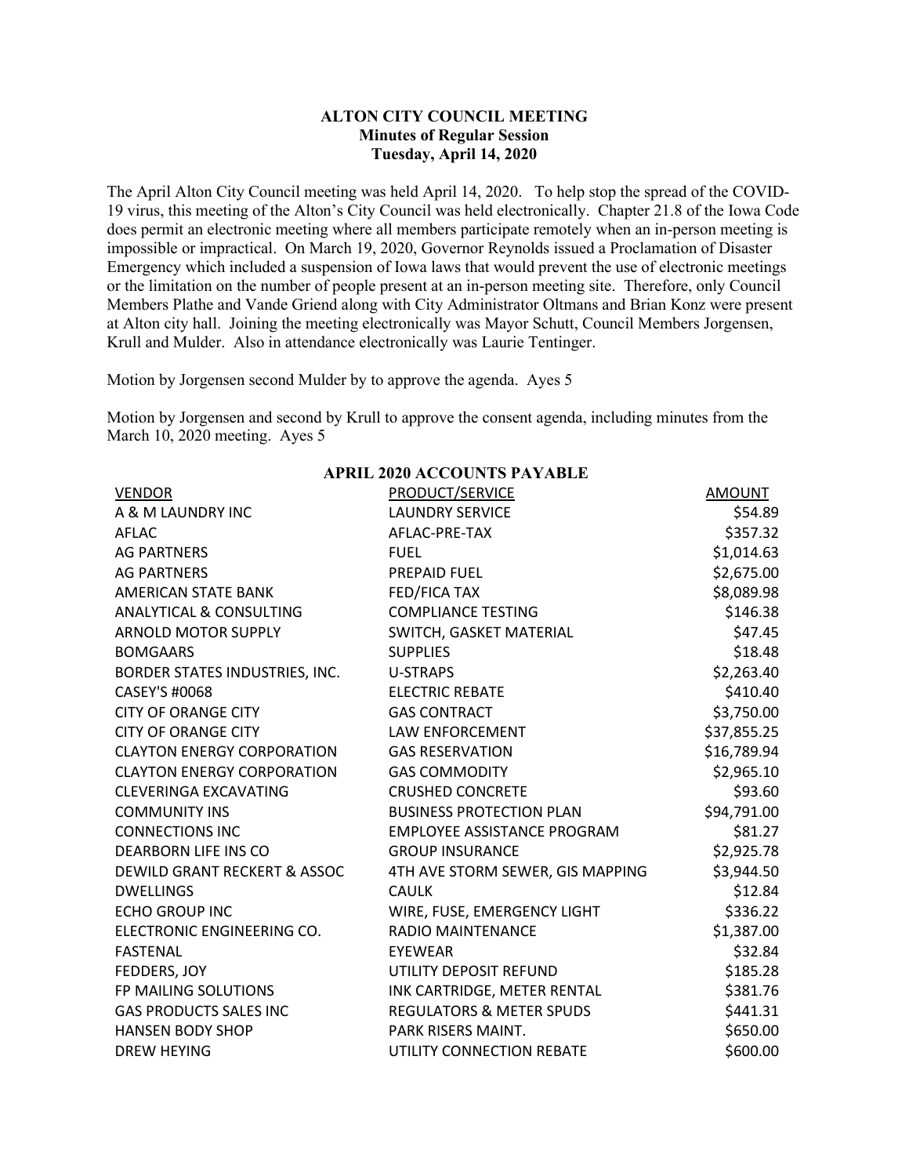## **ALTON CITY COUNCIL MEETING Minutes of Regular Session Tuesday, April 14, 2020**

The April Alton City Council meeting was held April 14, 2020. To help stop the spread of the COVID-19 virus, this meeting of the Alton's City Council was held electronically. Chapter 21.8 of the Iowa Code does permit an electronic meeting where all members participate remotely when an in-person meeting is impossible or impractical. On March 19, 2020, Governor Reynolds issued a Proclamation of Disaster Emergency which included a suspension of Iowa laws that would prevent the use of electronic meetings or the limitation on the number of people present at an in-person meeting site. Therefore, only Council Members Plathe and Vande Griend along with City Administrator Oltmans and Brian Konz were present at Alton city hall. Joining the meeting electronically was Mayor Schutt, Council Members Jorgensen, Krull and Mulder. Also in attendance electronically was Laurie Tentinger.

Motion by Jorgensen second Mulder by to approve the agenda. Ayes 5

Motion by Jorgensen and second by Krull to approve the consent agenda, including minutes from the March 10, 2020 meeting. Ayes 5

| AF NIL 2020 ACCOUNTS FATABLE       |                                     |             |  |  |  |
|------------------------------------|-------------------------------------|-------------|--|--|--|
| <b>VENDOR</b>                      | PRODUCT/SERVICE                     | AMOUNT      |  |  |  |
| A & M LAUNDRY INC                  | <b>LAUNDRY SERVICE</b>              | \$54.89     |  |  |  |
| AFLAC                              | AFLAC-PRE-TAX                       | \$357.32    |  |  |  |
| <b>AG PARTNERS</b>                 | <b>FUEL</b>                         | \$1,014.63  |  |  |  |
| <b>AG PARTNERS</b>                 | <b>PREPAID FUEL</b>                 | \$2,675.00  |  |  |  |
| AMERICAN STATE BANK                | <b>FED/FICA TAX</b>                 | \$8,089.98  |  |  |  |
| <b>ANALYTICAL &amp; CONSULTING</b> | <b>COMPLIANCE TESTING</b>           | \$146.38    |  |  |  |
| <b>ARNOLD MOTOR SUPPLY</b>         | SWITCH, GASKET MATERIAL             | \$47.45     |  |  |  |
| <b>BOMGAARS</b>                    | <b>SUPPLIES</b>                     | \$18.48     |  |  |  |
| BORDER STATES INDUSTRIES, INC.     | U-STRAPS                            | \$2,263.40  |  |  |  |
| CASEY'S #0068                      | <b>ELECTRIC REBATE</b>              | \$410.40    |  |  |  |
| <b>CITY OF ORANGE CITY</b>         | <b>GAS CONTRACT</b>                 | \$3,750.00  |  |  |  |
| <b>CITY OF ORANGE CITY</b>         | <b>LAW ENFORCEMENT</b>              | \$37,855.25 |  |  |  |
| <b>CLAYTON ENERGY CORPORATION</b>  | <b>GAS RESERVATION</b>              | \$16,789.94 |  |  |  |
| <b>CLAYTON ENERGY CORPORATION</b>  | <b>GAS COMMODITY</b>                | \$2,965.10  |  |  |  |
| <b>CLEVERINGA EXCAVATING</b>       | <b>CRUSHED CONCRETE</b>             | \$93.60     |  |  |  |
| <b>COMMUNITY INS</b>               | <b>BUSINESS PROTECTION PLAN</b>     | \$94,791.00 |  |  |  |
| <b>CONNECTIONS INC</b>             | EMPLOYEE ASSISTANCE PROGRAM         | \$81.27     |  |  |  |
| <b>DEARBORN LIFE INS CO</b>        | <b>GROUP INSURANCE</b>              | \$2,925.78  |  |  |  |
| DEWILD GRANT RECKERT & ASSOC       | 4TH AVE STORM SEWER, GIS MAPPING    | \$3,944.50  |  |  |  |
| <b>DWELLINGS</b>                   | <b>CAULK</b>                        | \$12.84     |  |  |  |
| <b>ECHO GROUP INC</b>              | WIRE, FUSE, EMERGENCY LIGHT         | \$336.22    |  |  |  |
| ELECTRONIC ENGINEERING CO.         | <b>RADIO MAINTENANCE</b>            | \$1,387.00  |  |  |  |
| <b>FASTENAL</b>                    | <b>EYEWEAR</b>                      | \$32.84     |  |  |  |
| FEDDERS, JOY                       | UTILITY DEPOSIT REFUND              | \$185.28    |  |  |  |
| FP MAILING SOLUTIONS               | INK CARTRIDGE, METER RENTAL         | \$381.76    |  |  |  |
| <b>GAS PRODUCTS SALES INC</b>      | <b>REGULATORS &amp; METER SPUDS</b> | \$441.31    |  |  |  |
| <b>HANSEN BODY SHOP</b>            | PARK RISERS MAINT.                  | \$650.00    |  |  |  |
| <b>DREW HEYING</b>                 | UTILITY CONNECTION REBATE           | \$600.00    |  |  |  |

## **APRIL 2020 ACCOUNTS PAYABLE**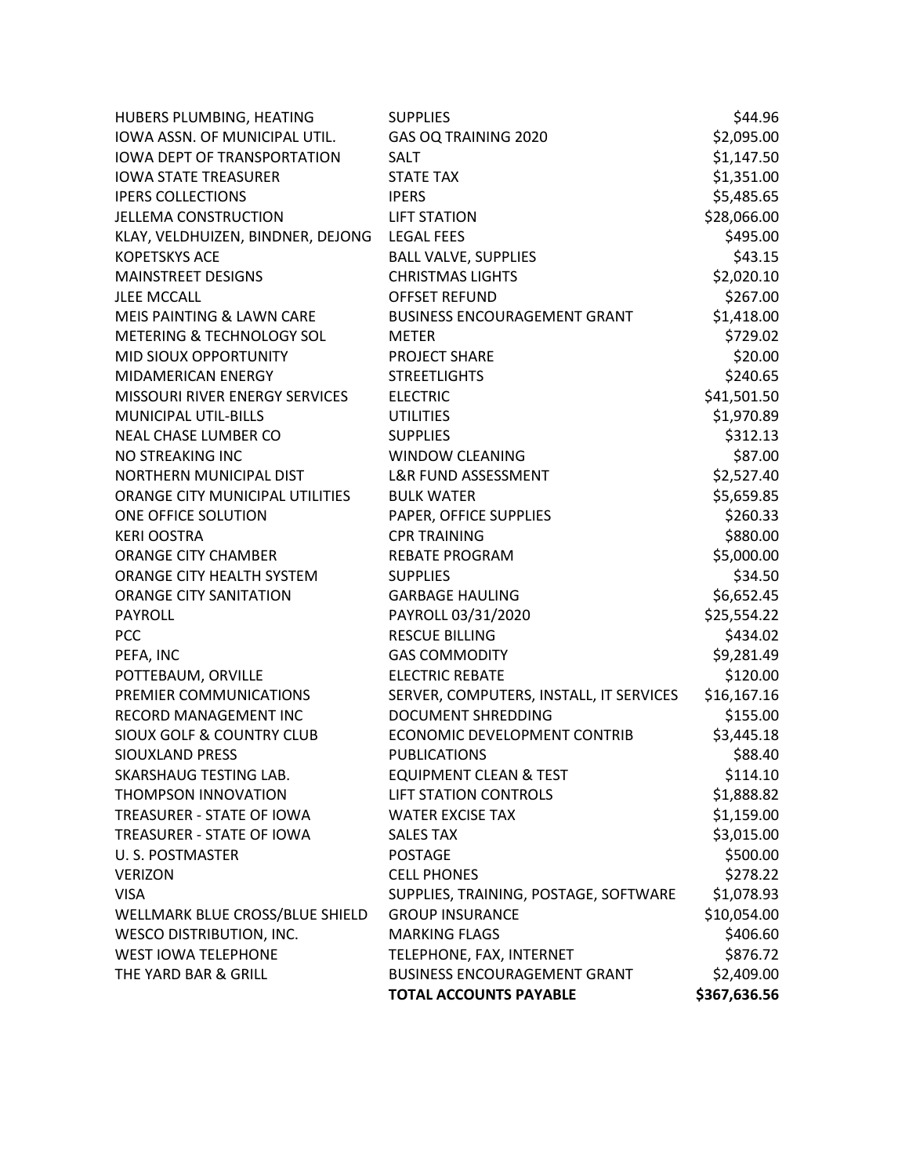| HUBERS PLUMBING, HEATING             | <b>SUPPLIES</b>                         | \$44.96      |
|--------------------------------------|-----------------------------------------|--------------|
| IOWA ASSN. OF MUNICIPAL UTIL.        | GAS OQ TRAINING 2020                    | \$2,095.00   |
| <b>IOWA DEPT OF TRANSPORTATION</b>   | <b>SALT</b>                             | \$1,147.50   |
| <b>IOWA STATE TREASURER</b>          | <b>STATE TAX</b>                        | \$1,351.00   |
| <b>IPERS COLLECTIONS</b>             | <b>IPERS</b>                            | \$5,485.65   |
| <b>JELLEMA CONSTRUCTION</b>          | <b>LIFT STATION</b>                     | \$28,066.00  |
| KLAY, VELDHUIZEN, BINDNER, DEJONG    | <b>LEGAL FEES</b>                       | \$495.00     |
| <b>KOPETSKYS ACE</b>                 | <b>BALL VALVE, SUPPLIES</b>             | \$43.15      |
| <b>MAINSTREET DESIGNS</b>            | <b>CHRISTMAS LIGHTS</b>                 | \$2,020.10   |
| <b>JLEE MCCALL</b>                   | <b>OFFSET REFUND</b>                    | \$267.00     |
| MEIS PAINTING & LAWN CARE            | <b>BUSINESS ENCOURAGEMENT GRANT</b>     | \$1,418.00   |
| METERING & TECHNOLOGY SOL            | <b>METER</b>                            | \$729.02     |
| MID SIOUX OPPORTUNITY                | <b>PROJECT SHARE</b>                    | \$20.00      |
| MIDAMERICAN ENERGY                   | <b>STREETLIGHTS</b>                     | \$240.65     |
| MISSOURI RIVER ENERGY SERVICES       | <b>ELECTRIC</b>                         | \$41,501.50  |
| MUNICIPAL UTIL-BILLS                 | <b>UTILITIES</b>                        | \$1,970.89   |
| <b>NEAL CHASE LUMBER CO</b>          | <b>SUPPLIES</b>                         | \$312.13     |
| NO STREAKING INC                     | <b>WINDOW CLEANING</b>                  | \$87.00      |
| NORTHERN MUNICIPAL DIST              | <b>L&amp;R FUND ASSESSMENT</b>          | \$2,527.40   |
| ORANGE CITY MUNICIPAL UTILITIES      | <b>BULK WATER</b>                       | \$5,659.85   |
| ONE OFFICE SOLUTION                  | PAPER, OFFICE SUPPLIES                  | \$260.33     |
| <b>KERI OOSTRA</b>                   | <b>CPR TRAINING</b>                     | \$880.00     |
| <b>ORANGE CITY CHAMBER</b>           | <b>REBATE PROGRAM</b>                   | \$5,000.00   |
| ORANGE CITY HEALTH SYSTEM            | <b>SUPPLIES</b>                         | \$34.50      |
| <b>ORANGE CITY SANITATION</b>        | <b>GARBAGE HAULING</b>                  | \$6,652.45   |
| <b>PAYROLL</b>                       | PAYROLL 03/31/2020                      | \$25,554.22  |
| PCC                                  | <b>RESCUE BILLING</b>                   | \$434.02     |
| PEFA, INC                            | <b>GAS COMMODITY</b>                    | \$9,281.49   |
| POTTEBAUM, ORVILLE                   | <b>ELECTRIC REBATE</b>                  | \$120.00     |
| PREMIER COMMUNICATIONS               | SERVER, COMPUTERS, INSTALL, IT SERVICES | \$16,167.16  |
| RECORD MANAGEMENT INC                | <b>DOCUMENT SHREDDING</b>               | \$155.00     |
| <b>SIOUX GOLF &amp; COUNTRY CLUB</b> | ECONOMIC DEVELOPMENT CONTRIB            | \$3,445.18   |
| SIOUXLAND PRESS                      | <b>PUBLICATIONS</b>                     | \$88.40      |
| SKARSHAUG TESTING LAB.               | <b>EQUIPMENT CLEAN &amp; TEST</b>       | \$114.10     |
| THOMPSON INNOVATION                  | <b>LIFT STATION CONTROLS</b>            | \$1,888.82   |
| TREASURER - STATE OF IOWA            | <b>WATER EXCISE TAX</b>                 | \$1,159.00   |
| TREASURER - STATE OF IOWA            | <b>SALES TAX</b>                        | \$3,015.00   |
| U. S. POSTMASTER                     | <b>POSTAGE</b>                          | \$500.00     |
| <b>VERIZON</b>                       | <b>CELL PHONES</b>                      | \$278.22     |
| <b>VISA</b>                          | SUPPLIES, TRAINING, POSTAGE, SOFTWARE   | \$1,078.93   |
| WELLMARK BLUE CROSS/BLUE SHIELD      | <b>GROUP INSURANCE</b>                  | \$10,054.00  |
| <b>WESCO DISTRIBUTION, INC.</b>      | <b>MARKING FLAGS</b>                    | \$406.60     |
| <b>WEST IOWA TELEPHONE</b>           | TELEPHONE, FAX, INTERNET                | \$876.72     |
| THE YARD BAR & GRILL                 | <b>BUSINESS ENCOURAGEMENT GRANT</b>     | \$2,409.00   |
|                                      | <b>TOTAL ACCOUNTS PAYABLE</b>           | \$367,636.56 |
|                                      |                                         |              |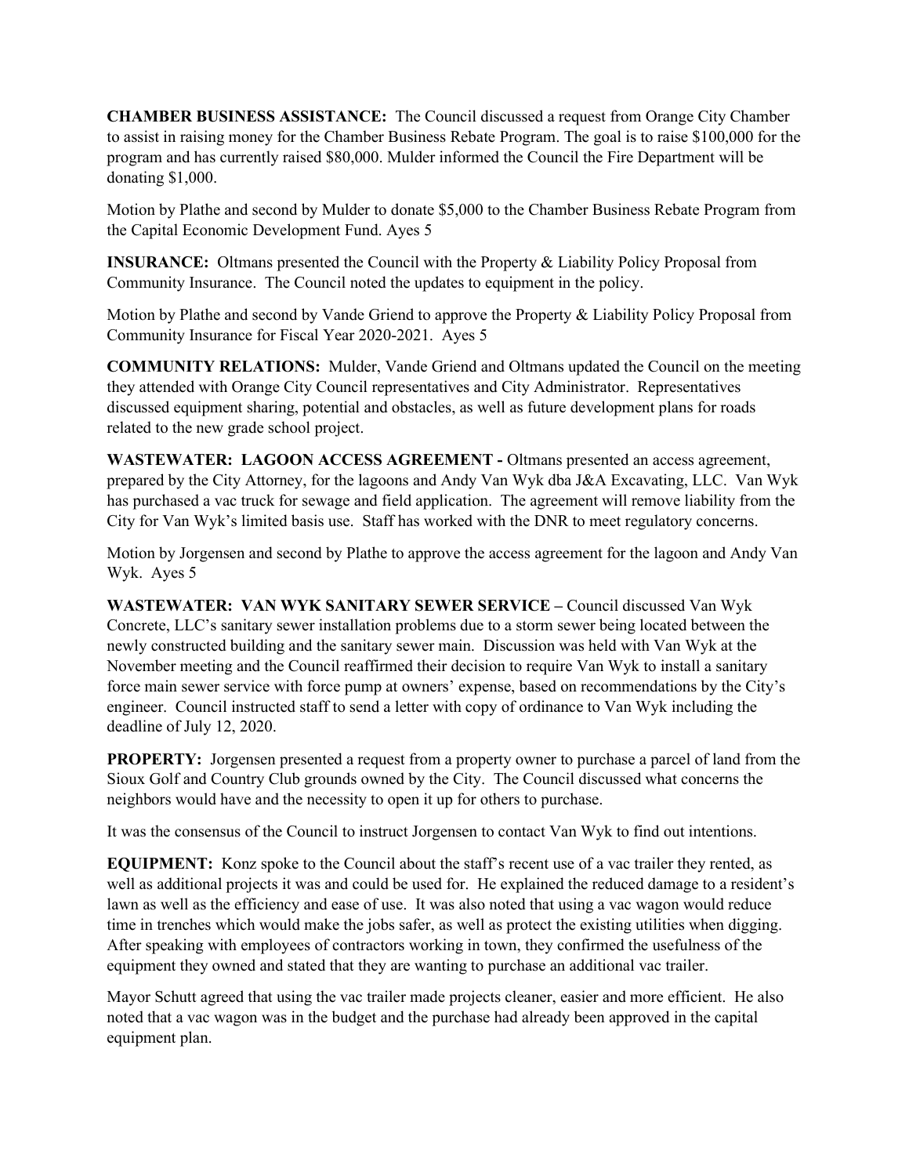**CHAMBER BUSINESS ASSISTANCE:** The Council discussed a request from Orange City Chamber to assist in raising money for the Chamber Business Rebate Program. The goal is to raise \$100,000 for the program and has currently raised \$80,000. Mulder informed the Council the Fire Department will be donating \$1,000.

Motion by Plathe and second by Mulder to donate \$5,000 to the Chamber Business Rebate Program from the Capital Economic Development Fund. Ayes 5

**INSURANCE:** Oltmans presented the Council with the Property & Liability Policy Proposal from Community Insurance. The Council noted the updates to equipment in the policy.

Motion by Plathe and second by Vande Griend to approve the Property & Liability Policy Proposal from Community Insurance for Fiscal Year 2020-2021. Ayes 5

**COMMUNITY RELATIONS:** Mulder, Vande Griend and Oltmans updated the Council on the meeting they attended with Orange City Council representatives and City Administrator. Representatives discussed equipment sharing, potential and obstacles, as well as future development plans for roads related to the new grade school project.

**WASTEWATER: LAGOON ACCESS AGREEMENT -** Oltmans presented an access agreement, prepared by the City Attorney, for the lagoons and Andy Van Wyk dba J&A Excavating, LLC. Van Wyk has purchased a vac truck for sewage and field application. The agreement will remove liability from the City for Van Wyk's limited basis use. Staff has worked with the DNR to meet regulatory concerns.

Motion by Jorgensen and second by Plathe to approve the access agreement for the lagoon and Andy Van Wyk. Ayes 5

**WASTEWATER: VAN WYK SANITARY SEWER SERVICE –** Council discussed Van Wyk Concrete, LLC's sanitary sewer installation problems due to a storm sewer being located between the newly constructed building and the sanitary sewer main. Discussion was held with Van Wyk at the November meeting and the Council reaffirmed their decision to require Van Wyk to install a sanitary force main sewer service with force pump at owners' expense, based on recommendations by the City's engineer. Council instructed staff to send a letter with copy of ordinance to Van Wyk including the deadline of July 12, 2020.

**PROPERTY:** Jorgensen presented a request from a property owner to purchase a parcel of land from the Sioux Golf and Country Club grounds owned by the City. The Council discussed what concerns the neighbors would have and the necessity to open it up for others to purchase.

It was the consensus of the Council to instruct Jorgensen to contact Van Wyk to find out intentions.

**EQUIPMENT:** Konz spoke to the Council about the staff's recent use of a vac trailer they rented, as well as additional projects it was and could be used for. He explained the reduced damage to a resident's lawn as well as the efficiency and ease of use. It was also noted that using a vac wagon would reduce time in trenches which would make the jobs safer, as well as protect the existing utilities when digging. After speaking with employees of contractors working in town, they confirmed the usefulness of the equipment they owned and stated that they are wanting to purchase an additional vac trailer.

Mayor Schutt agreed that using the vac trailer made projects cleaner, easier and more efficient. He also noted that a vac wagon was in the budget and the purchase had already been approved in the capital equipment plan.